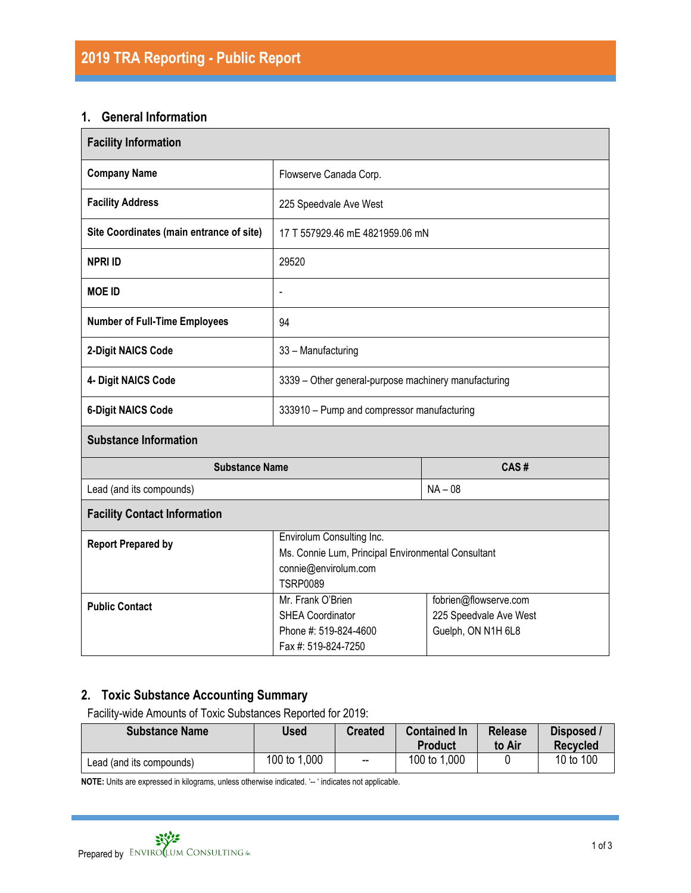#### **1. General Information**

| <b>Facility Information</b>              |                                                                                                                            |                                                                       |  |  |  |
|------------------------------------------|----------------------------------------------------------------------------------------------------------------------------|-----------------------------------------------------------------------|--|--|--|
| <b>Company Name</b>                      | Flowserve Canada Corp.                                                                                                     |                                                                       |  |  |  |
| <b>Facility Address</b>                  | 225 Speedvale Ave West                                                                                                     |                                                                       |  |  |  |
| Site Coordinates (main entrance of site) | 17 T 557929.46 mE 4821959.06 mN                                                                                            |                                                                       |  |  |  |
| <b>NPRI ID</b>                           | 29520                                                                                                                      |                                                                       |  |  |  |
| <b>MOE ID</b>                            | $\overline{\phantom{a}}$                                                                                                   |                                                                       |  |  |  |
| <b>Number of Full-Time Employees</b>     | 94                                                                                                                         |                                                                       |  |  |  |
| 2-Digit NAICS Code                       | 33 - Manufacturing                                                                                                         |                                                                       |  |  |  |
| 4- Digit NAICS Code                      | 3339 - Other general-purpose machinery manufacturing                                                                       |                                                                       |  |  |  |
| <b>6-Digit NAICS Code</b>                | 333910 - Pump and compressor manufacturing                                                                                 |                                                                       |  |  |  |
| <b>Substance Information</b>             |                                                                                                                            |                                                                       |  |  |  |
| <b>Substance Name</b>                    |                                                                                                                            | CAS#                                                                  |  |  |  |
| Lead (and its compounds)                 |                                                                                                                            | $NA - 08$                                                             |  |  |  |
| <b>Facility Contact Information</b>      |                                                                                                                            |                                                                       |  |  |  |
| <b>Report Prepared by</b>                | Envirolum Consulting Inc.<br>Ms. Connie Lum, Principal Environmental Consultant<br>connie@envirolum.com<br><b>TSRP0089</b> |                                                                       |  |  |  |
| <b>Public Contact</b>                    | Mr. Frank O'Brien<br><b>SHEA Coordinator</b><br>Phone #: 519-824-4600<br>Fax #: 519-824-7250                               | fobrien@flowserve.com<br>225 Speedvale Ave West<br>Guelph, ON N1H 6L8 |  |  |  |

## **2. Toxic Substance Accounting Summary**

Facility-wide Amounts of Toxic Substances Reported for 2019:

| <b>Substance Name</b>    | Used         | <b>Created</b>           | <b>Contained In</b><br>Product | <b>Release</b><br>to Air | Disposed /<br><b>Recvcled</b> |
|--------------------------|--------------|--------------------------|--------------------------------|--------------------------|-------------------------------|
| Lead (and its compounds) | 100 to 1,000 | $\overline{\phantom{a}}$ | 100 to 1,000                   |                          | 10 to 100                     |

**NOTE:** Units are expressed in kilograms, unless otherwise indicated. '-- ' indicates not applicable.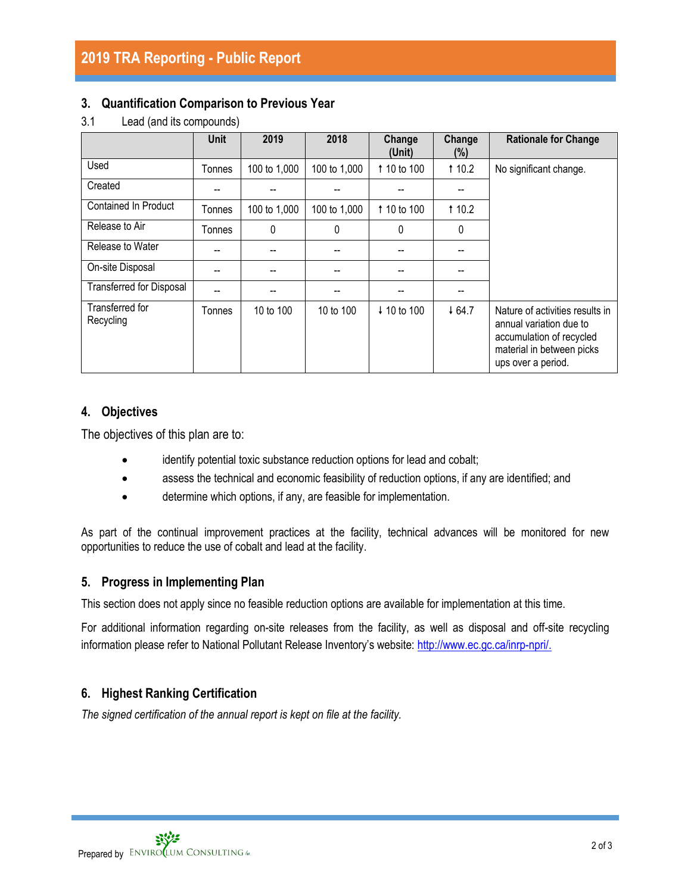#### **3. Quantification Comparison to Previous Year**

|                              | <b>Unit</b>   | 2019         | 2018         | Change<br>(Unit) | Change<br>$(\%)$ | <b>Rationale for Change</b>                                                                                                               |
|------------------------------|---------------|--------------|--------------|------------------|------------------|-------------------------------------------------------------------------------------------------------------------------------------------|
| Used                         | Tonnes        | 100 to 1,000 | 100 to 1,000 | 1 10 to 100      | 110.2            | No significant change.                                                                                                                    |
| Created                      |               |              |              |                  |                  |                                                                                                                                           |
| <b>Contained In Product</b>  | Tonnes        | 100 to 1,000 | 100 to 1,000 | 1 10 to 100      | 110.2            |                                                                                                                                           |
| Release to Air               | Tonnes        | 0            | 0            | $\Omega$         | 0                |                                                                                                                                           |
| Release to Water             |               |              |              |                  |                  |                                                                                                                                           |
| On-site Disposal             |               |              |              |                  |                  |                                                                                                                                           |
| Transferred for Disposal     |               |              |              |                  |                  |                                                                                                                                           |
| Transferred for<br>Recycling | <b>Tonnes</b> | 10 to 100    | 10 to 100    | ↓ 10 to 100      | 464.7            | Nature of activities results in<br>annual variation due to<br>accumulation of recycled<br>material in between picks<br>ups over a period. |

#### 3.1 Lead (and its compounds)

## **4. Objectives**

The objectives of this plan are to:

- identify potential toxic substance reduction options for lead and cobalt;
- assess the technical and economic feasibility of reduction options, if any are identified; and
- determine which options, if any, are feasible for implementation.

As part of the continual improvement practices at the facility, technical advances will be monitored for new opportunities to reduce the use of cobalt and lead at the facility.

#### **5. Progress in Implementing Plan**

This section does not apply since no feasible reduction options are available for implementation at this time.

For additional information regarding on-site releases from the facility, as well as disposal and off-site recycling information please refer to National Pollutant Release Inventory's website: [http://www.ec.gc.ca/inrp-npri/.](http://www.ec.gc.ca/inrp-npri/)

# **6. Highest Ranking Certification**

*The signed certification of the annual report is kept on file at the facility.*